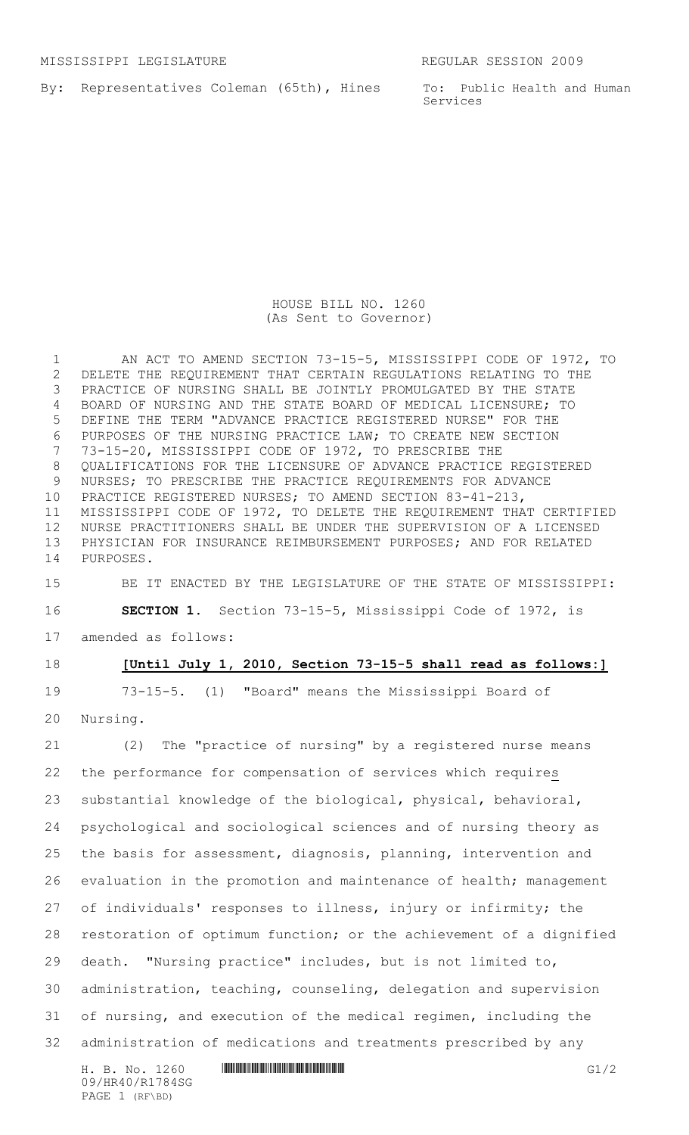By: Representatives Coleman (65th), Hines

To: Public Health and Human Services

HOUSE BILL NO. 1260 (As Sent to Governor)

 AN ACT TO AMEND SECTION 73-15-5, MISSISSIPPI CODE OF 1972, TO DELETE THE REQUIREMENT THAT CERTAIN REGULATIONS RELATING TO THE PRACTICE OF NURSING SHALL BE JOINTLY PROMULGATED BY THE STATE BOARD OF NURSING AND THE STATE BOARD OF MEDICAL LICENSURE; TO DEFINE THE TERM "ADVANCE PRACTICE REGISTERED NURSE" FOR THE PURPOSES OF THE NURSING PRACTICE LAW; TO CREATE NEW SECTION 73-15-20, MISSISSIPPI CODE OF 1972, TO PRESCRIBE THE QUALIFICATIONS FOR THE LICENSURE OF ADVANCE PRACTICE REGISTERED NURSES; TO PRESCRIBE THE PRACTICE REQUIREMENTS FOR ADVANCE PRACTICE REGISTERED NURSES; TO AMEND SECTION 83-41-213, MISSISSIPPI CODE OF 1972, TO DELETE THE REQUIREMENT THAT CERTIFIED NURSE PRACTITIONERS SHALL BE UNDER THE SUPERVISION OF A LICENSED PHYSICIAN FOR INSURANCE REIMBURSEMENT PURPOSES; AND FOR RELATED PURPOSES.

 BE IT ENACTED BY THE LEGISLATURE OF THE STATE OF MISSISSIPPI: **SECTION 1.** Section 73-15-5, Mississippi Code of 1972, is amended as follows:

## **[Until July 1, 2010, Section 73-15-5 shall read as follows:]**

 73-15-5. (1) "Board" means the Mississippi Board of Nursing.

 (2) The "practice of nursing" by a registered nurse means the performance for compensation of services which requires substantial knowledge of the biological, physical, behavioral, psychological and sociological sciences and of nursing theory as the basis for assessment, diagnosis, planning, intervention and evaluation in the promotion and maintenance of health; management of individuals' responses to illness, injury or infirmity; the restoration of optimum function; or the achievement of a dignified death. "Nursing practice" includes, but is not limited to, administration, teaching, counseling, delegation and supervision of nursing, and execution of the medical regimen, including the administration of medications and treatments prescribed by any

H. B. No. 1260 **HR40/R1784 SGM G1/2** 09/HR40/R1784SG PAGE 1 (RF\BD)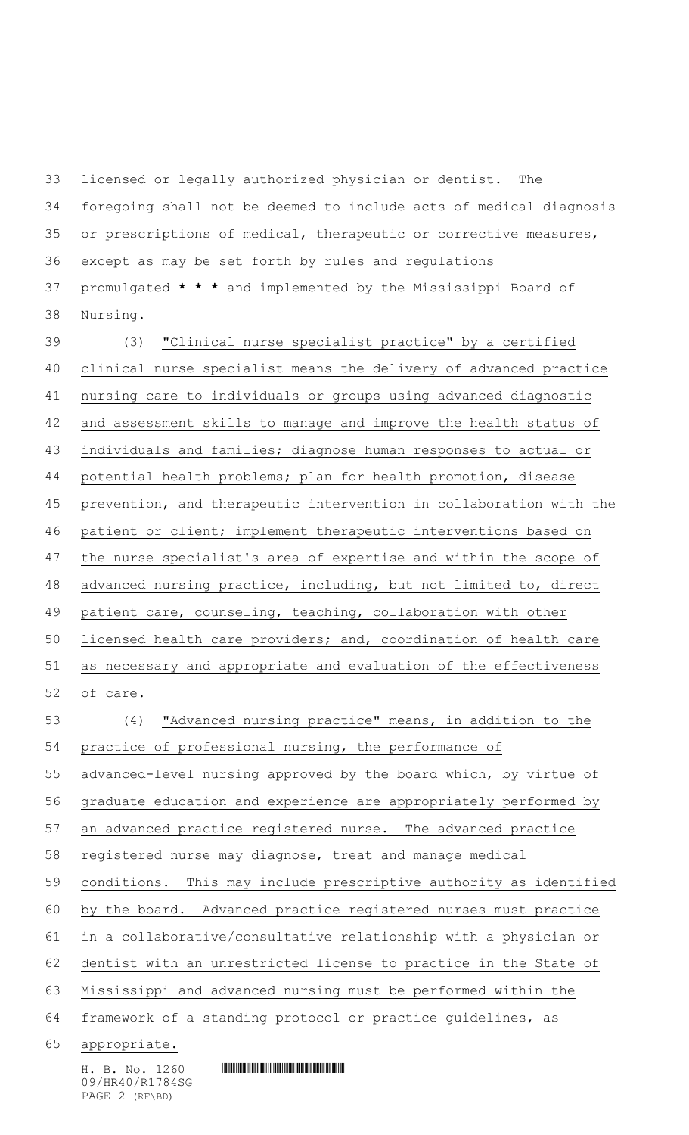foregoing shall not be deemed to include acts of medical diagnosis or prescriptions of medical, therapeutic or corrective measures, except as may be set forth by rules and regulations promulgated **\* \* \*** and implemented by the Mississippi Board of Nursing. (3) "Clinical nurse specialist practice" by a certified 40 clinical nurse specialist means the delivery of advanced practice nursing care to individuals or groups using advanced diagnostic and assessment skills to manage and improve the health status of individuals and families; diagnose human responses to actual or potential health problems; plan for health promotion, disease prevention, and therapeutic intervention in collaboration with the patient or client; implement therapeutic interventions based on 47 the nurse specialist's area of expertise and within the scope of advanced nursing practice, including, but not limited to, direct patient care, counseling, teaching, collaboration with other licensed health care providers; and, coordination of health care as necessary and appropriate and evaluation of the effectiveness of care. (4) "Advanced nursing practice" means, in addition to the practice of professional nursing, the performance of advanced-level nursing approved by the board which, by virtue of graduate education and experience are appropriately performed by an advanced practice registered nurse. The advanced practice 58 registered nurse may diagnose, treat and manage medical conditions. This may include prescriptive authority as identified by the board. Advanced practice registered nurses must practice in a collaborative/consultative relationship with a physician or dentist with an unrestricted license to practice in the State of

licensed or legally authorized physician or dentist. The

Mississippi and advanced nursing must be performed within the

64 framework of a standing protocol or practice guidelines, as

appropriate.

 $H. B. No. 1260$  . HENGING THE SET OF SET OF SET OF SET OF SET OF SET OF SET OF SET OF SET OF SET OF SET OF SET OF SET OF SET OF SET OF SET OF SET OF SET OF SET OF SET OF SET OF SET OF SET OF SET OF SET OF SET OF SET OF SET 09/HR40/R1784SG PAGE 2 (RF\BD)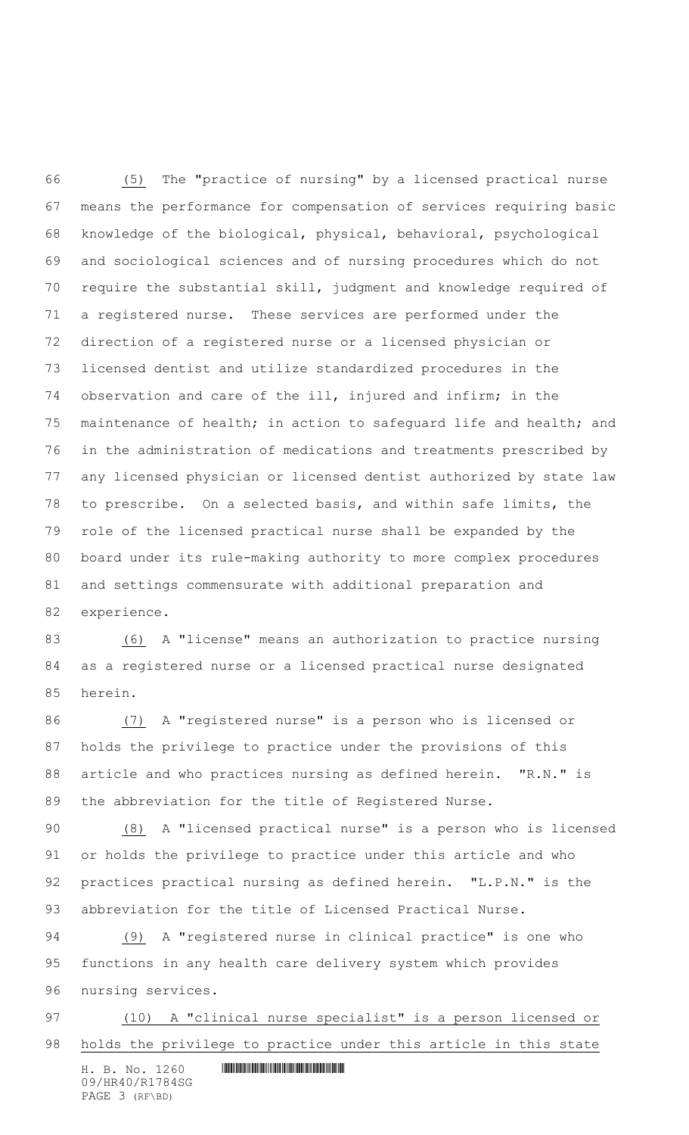(5) The "practice of nursing" by a licensed practical nurse means the performance for compensation of services requiring basic knowledge of the biological, physical, behavioral, psychological and sociological sciences and of nursing procedures which do not require the substantial skill, judgment and knowledge required of a registered nurse. These services are performed under the direction of a registered nurse or a licensed physician or licensed dentist and utilize standardized procedures in the observation and care of the ill, injured and infirm; in the maintenance of health; in action to safeguard life and health; and in the administration of medications and treatments prescribed by any licensed physician or licensed dentist authorized by state law to prescribe. On a selected basis, and within safe limits, the role of the licensed practical nurse shall be expanded by the board under its rule-making authority to more complex procedures and settings commensurate with additional preparation and experience.

 (6) A "license" means an authorization to practice nursing as a registered nurse or a licensed practical nurse designated herein.

 (7) A "registered nurse" is a person who is licensed or holds the privilege to practice under the provisions of this article and who practices nursing as defined herein. "R.N." is the abbreviation for the title of Registered Nurse.

 (8) A "licensed practical nurse" is a person who is licensed or holds the privilege to practice under this article and who practices practical nursing as defined herein. "L.P.N." is the abbreviation for the title of Licensed Practical Nurse.

 (9) A "registered nurse in clinical practice" is one who functions in any health care delivery system which provides nursing services.

 (10) A "clinical nurse specialist" is a person licensed or holds the privilege to practice under this article in this state

 $H. B. No. 1260$  . HENGING THE SET OF SET OF SET OF SET OF SET OF SET OF SET OF SET OF SET OF SET OF SET OF SET OF SET OF SET OF SET OF SET OF SET OF SET OF SET OF SET OF SET OF SET OF SET OF SET OF SET OF SET OF SET OF SET 09/HR40/R1784SG PAGE 3 (RF\BD)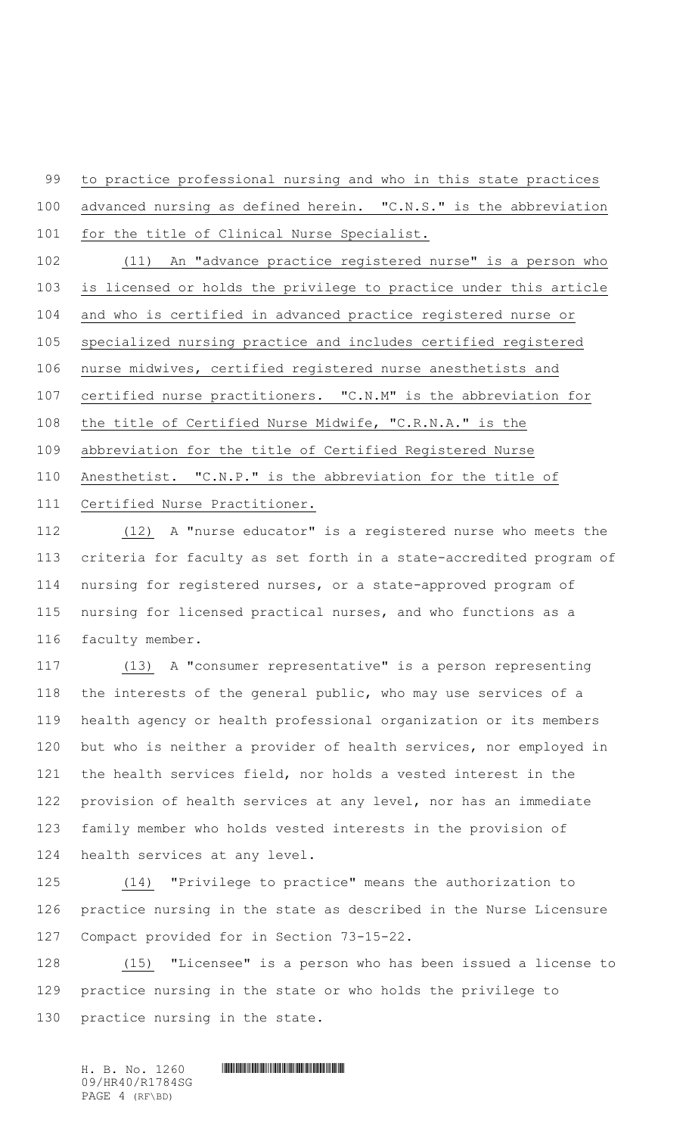to practice professional nursing and who in this state practices

 advanced nursing as defined herein. "C.N.S." is the abbreviation for the title of Clinical Nurse Specialist.

 (11) An "advance practice registered nurse" is a person who is licensed or holds the privilege to practice under this article and who is certified in advanced practice registered nurse or specialized nursing practice and includes certified registered nurse midwives, certified registered nurse anesthetists and certified nurse practitioners. "C.N.M" is the abbreviation for the title of Certified Nurse Midwife, "C.R.N.A." is the abbreviation for the title of Certified Registered Nurse Anesthetist. "C.N.P." is the abbreviation for the title of Certified Nurse Practitioner.

 (12) A "nurse educator" is a registered nurse who meets the criteria for faculty as set forth in a state-accredited program of nursing for registered nurses, or a state-approved program of nursing for licensed practical nurses, and who functions as a faculty member.

117 (13) A "consumer representative" is a person representing the interests of the general public, who may use services of a health agency or health professional organization or its members but who is neither a provider of health services, nor employed in the health services field, nor holds a vested interest in the provision of health services at any level, nor has an immediate family member who holds vested interests in the provision of health services at any level.

 (14) "Privilege to practice" means the authorization to practice nursing in the state as described in the Nurse Licensure Compact provided for in Section 73-15-22.

 (15) "Licensee" is a person who has been issued a license to practice nursing in the state or who holds the privilege to practice nursing in the state.

 $H. B. No. 1260$  . HENGING THE SET OF SET OF SET OF SET OF SET OF SET OF SET OF SET OF SET OF SET OF SET OF SET OF SET OF SET OF SET OF SET OF SET OF SET OF SET OF SET OF SET OF SET OF SET OF SET OF SET OF SET OF SET OF SET 09/HR40/R1784SG PAGE 4 (RF\BD)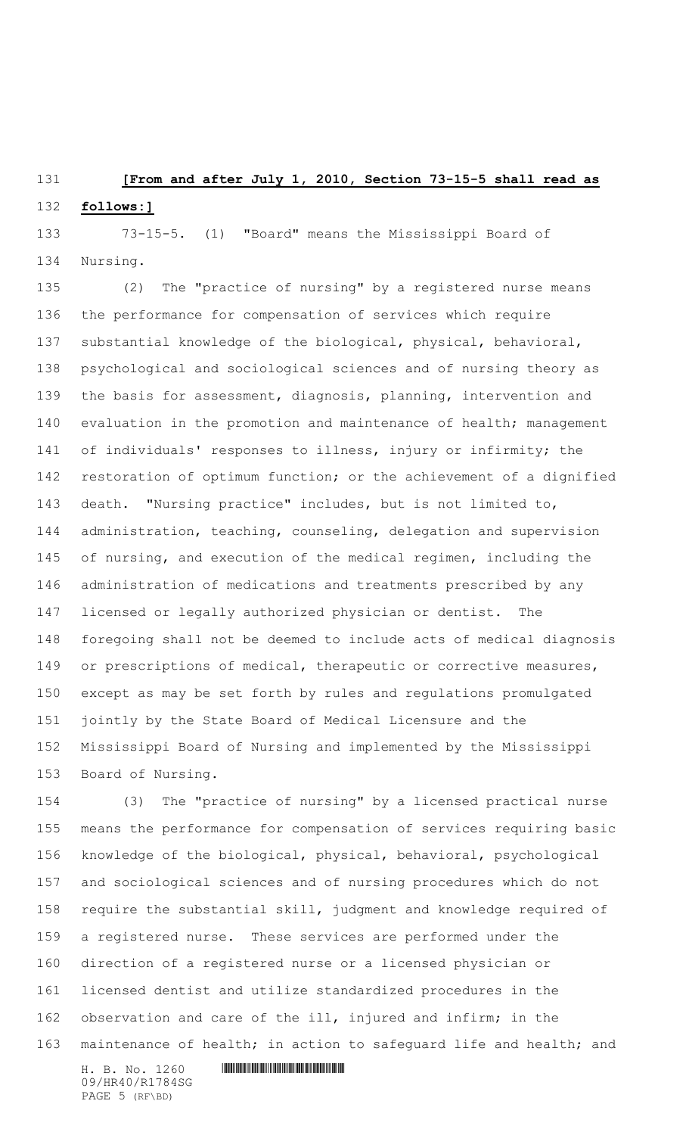### **[From and after July 1, 2010, Section 73-15-5 shall read as**

#### **follows:]**

 73-15-5. (1) "Board" means the Mississippi Board of Nursing.

 (2) The "practice of nursing" by a registered nurse means the performance for compensation of services which require substantial knowledge of the biological, physical, behavioral, psychological and sociological sciences and of nursing theory as the basis for assessment, diagnosis, planning, intervention and 140 evaluation in the promotion and maintenance of health; management of individuals' responses to illness, injury or infirmity; the restoration of optimum function; or the achievement of a dignified death. "Nursing practice" includes, but is not limited to, administration, teaching, counseling, delegation and supervision of nursing, and execution of the medical regimen, including the administration of medications and treatments prescribed by any licensed or legally authorized physician or dentist. The foregoing shall not be deemed to include acts of medical diagnosis or prescriptions of medical, therapeutic or corrective measures, except as may be set forth by rules and regulations promulgated jointly by the State Board of Medical Licensure and the Mississippi Board of Nursing and implemented by the Mississippi Board of Nursing.

 (3) The "practice of nursing" by a licensed practical nurse means the performance for compensation of services requiring basic knowledge of the biological, physical, behavioral, psychological and sociological sciences and of nursing procedures which do not require the substantial skill, judgment and knowledge required of a registered nurse. These services are performed under the direction of a registered nurse or a licensed physician or licensed dentist and utilize standardized procedures in the observation and care of the ill, injured and infirm; in the maintenance of health; in action to safeguard life and health; and

 $H. B. No. 1260$  . HENANGE THE SET OF SET OF SET OF SET OF SET OF SET OF SET OF SET OF SET OF SET OF SET OF SET OF SET OF SET OF SET OF SET OF SET OF SET OF SET OF SET OF SET OF SET OF SET OF SET OF SET OF SET OF SET OF SET 09/HR40/R1784SG PAGE 5 (RF\BD)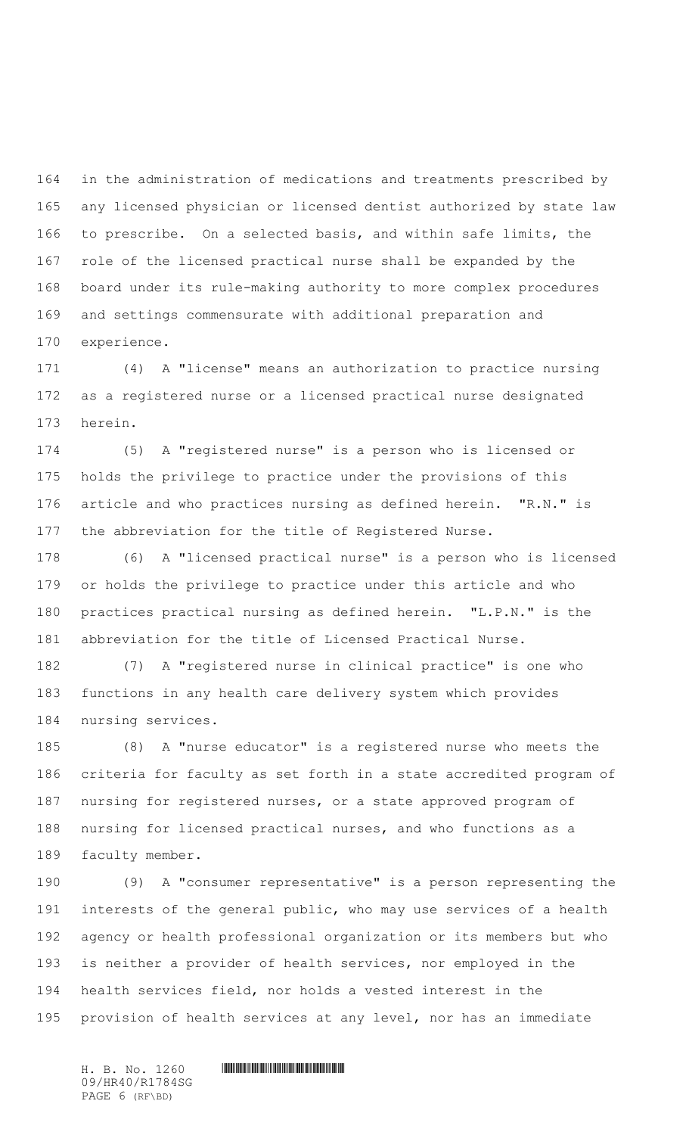in the administration of medications and treatments prescribed by any licensed physician or licensed dentist authorized by state law to prescribe. On a selected basis, and within safe limits, the role of the licensed practical nurse shall be expanded by the board under its rule-making authority to more complex procedures and settings commensurate with additional preparation and experience.

 (4) A "license" means an authorization to practice nursing as a registered nurse or a licensed practical nurse designated herein.

 (5) A "registered nurse" is a person who is licensed or holds the privilege to practice under the provisions of this article and who practices nursing as defined herein. "R.N." is the abbreviation for the title of Registered Nurse.

 (6) A "licensed practical nurse" is a person who is licensed or holds the privilege to practice under this article and who practices practical nursing as defined herein. "L.P.N." is the abbreviation for the title of Licensed Practical Nurse.

 (7) A "registered nurse in clinical practice" is one who functions in any health care delivery system which provides nursing services.

 (8) A "nurse educator" is a registered nurse who meets the criteria for faculty as set forth in a state accredited program of nursing for registered nurses, or a state approved program of nursing for licensed practical nurses, and who functions as a faculty member.

 (9) A "consumer representative" is a person representing the interests of the general public, who may use services of a health agency or health professional organization or its members but who is neither a provider of health services, nor employed in the health services field, nor holds a vested interest in the provision of health services at any level, nor has an immediate

09/HR40/R1784SG PAGE 6 (RF\BD)

 $H. B. No. 1260$  . HENGING THE SET OF SET OF SET OF SET OF SET OF SET OF SET OF SET OF SET OF SET OF SET OF SET OF SET OF SET OF SET OF SET OF SET OF SET OF SET OF SET OF SET OF SET OF SET OF SET OF SET OF SET OF SET OF SET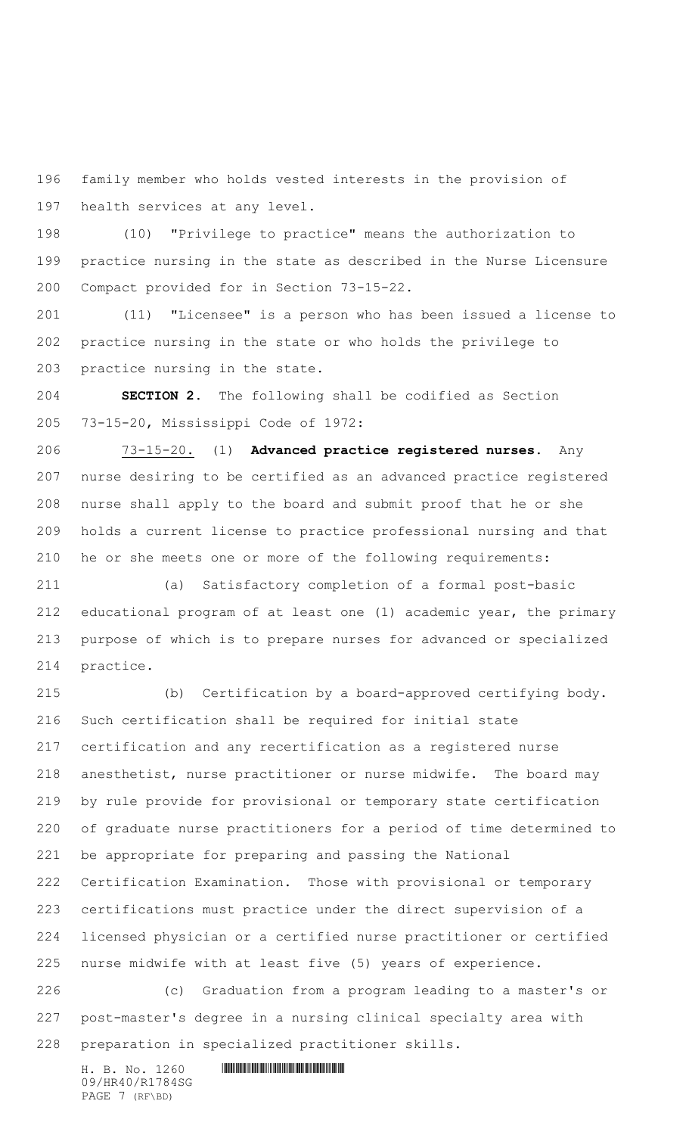family member who holds vested interests in the provision of health services at any level.

 (10) "Privilege to practice" means the authorization to practice nursing in the state as described in the Nurse Licensure Compact provided for in Section 73-15-22.

 (11) "Licensee" is a person who has been issued a license to practice nursing in the state or who holds the privilege to practice nursing in the state.

 **SECTION 2.** The following shall be codified as Section 73-15-20, Mississippi Code of 1972:

 73-15-20. (1) **Advanced practice registered nurses.** Any nurse desiring to be certified as an advanced practice registered nurse shall apply to the board and submit proof that he or she holds a current license to practice professional nursing and that he or she meets one or more of the following requirements:

 (a) Satisfactory completion of a formal post-basic educational program of at least one (1) academic year, the primary purpose of which is to prepare nurses for advanced or specialized practice.

 (b) Certification by a board-approved certifying body. Such certification shall be required for initial state certification and any recertification as a registered nurse anesthetist, nurse practitioner or nurse midwife. The board may by rule provide for provisional or temporary state certification of graduate nurse practitioners for a period of time determined to be appropriate for preparing and passing the National Certification Examination. Those with provisional or temporary certifications must practice under the direct supervision of a licensed physician or a certified nurse practitioner or certified nurse midwife with at least five (5) years of experience. (c) Graduation from a program leading to a master's or

 post-master's degree in a nursing clinical specialty area with preparation in specialized practitioner skills.

 $H. B. No. 1260$  . HENANGE THE SET OF SET OF SET OF SET OF SET OF SET OF SET OF SET OF SET OF SET OF SET OF SET OF SET OF SET OF SET OF SET OF SET OF SET OF SET OF SET OF SET OF SET OF SET OF SET OF SET OF SET OF SET OF SET 09/HR40/R1784SG PAGE 7 (RF\BD)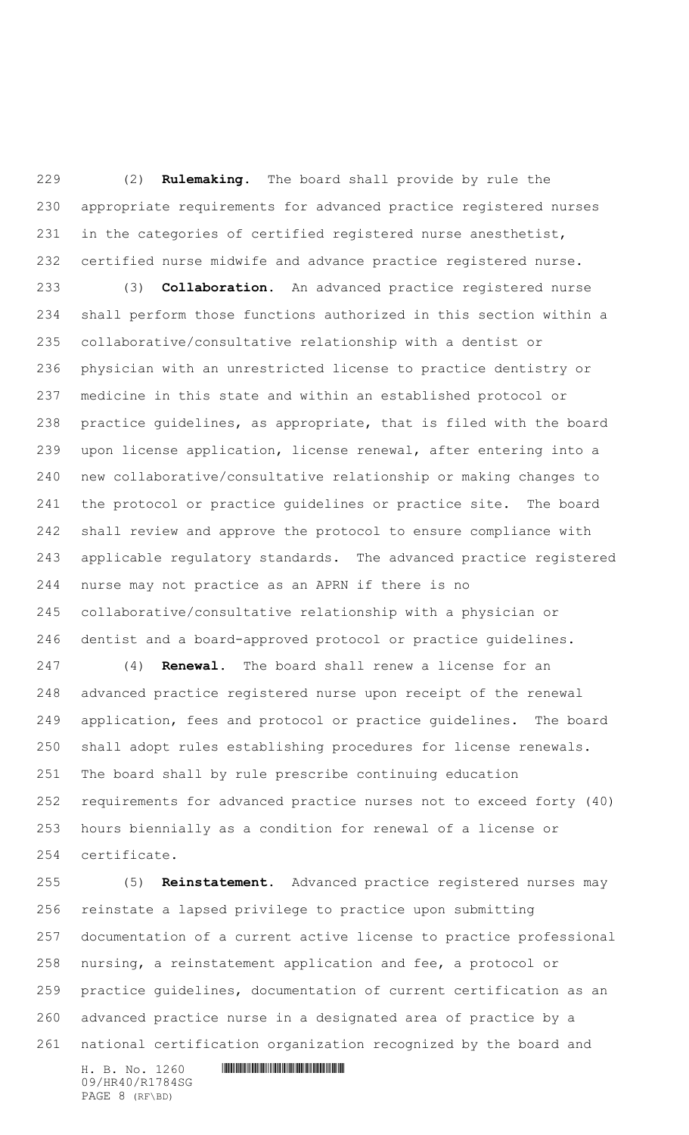(2) **Rulemaking**. The board shall provide by rule the appropriate requirements for advanced practice registered nurses in the categories of certified registered nurse anesthetist, certified nurse midwife and advance practice registered nurse.

 (3) **Collaboration**. An advanced practice registered nurse shall perform those functions authorized in this section within a collaborative/consultative relationship with a dentist or physician with an unrestricted license to practice dentistry or medicine in this state and within an established protocol or practice guidelines, as appropriate, that is filed with the board upon license application, license renewal, after entering into a new collaborative/consultative relationship or making changes to the protocol or practice guidelines or practice site. The board shall review and approve the protocol to ensure compliance with applicable regulatory standards. The advanced practice registered nurse may not practice as an APRN if there is no collaborative/consultative relationship with a physician or dentist and a board-approved protocol or practice guidelines.

 (4) **Renewal.** The board shall renew a license for an advanced practice registered nurse upon receipt of the renewal application, fees and protocol or practice guidelines. The board shall adopt rules establishing procedures for license renewals. The board shall by rule prescribe continuing education requirements for advanced practice nurses not to exceed forty (40) hours biennially as a condition for renewal of a license or certificate.

 (5) **Reinstatement**. Advanced practice registered nurses may reinstate a lapsed privilege to practice upon submitting documentation of a current active license to practice professional nursing, a reinstatement application and fee, a protocol or practice guidelines, documentation of current certification as an advanced practice nurse in a designated area of practice by a national certification organization recognized by the board and

 $H. B. No. 1260$  . HENANGE THE SET OF SET OF SET OF SET OF SET OF SET OF SET OF SET OF SET OF SET OF SET OF SET OF SET OF SET OF SET OF SET OF SET OF SET OF SET OF SET OF SET OF SET OF SET OF SET OF SET OF SET OF SET OF SET 09/HR40/R1784SG PAGE 8 (RF\BD)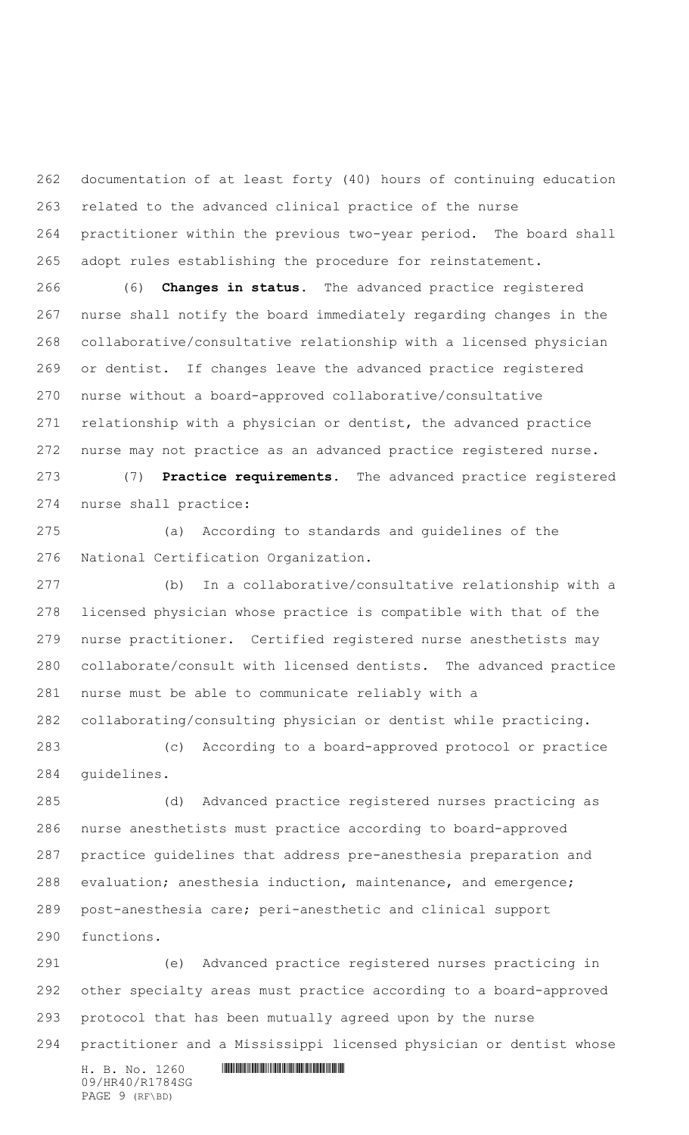documentation of at least forty (40) hours of continuing education related to the advanced clinical practice of the nurse practitioner within the previous two-year period. The board shall adopt rules establishing the procedure for reinstatement.

 (6) **Changes in status**. The advanced practice registered nurse shall notify the board immediately regarding changes in the collaborative/consultative relationship with a licensed physician or dentist. If changes leave the advanced practice registered nurse without a board-approved collaborative/consultative relationship with a physician or dentist, the advanced practice nurse may not practice as an advanced practice registered nurse.

 (7) **Practice requirements.** The advanced practice registered nurse shall practice:

 (a) According to standards and guidelines of the National Certification Organization.

 (b) In a collaborative/consultative relationship with a licensed physician whose practice is compatible with that of the nurse practitioner. Certified registered nurse anesthetists may collaborate/consult with licensed dentists. The advanced practice nurse must be able to communicate reliably with a collaborating/consulting physician or dentist while practicing.

 (c) According to a board-approved protocol or practice guidelines.

 (d) Advanced practice registered nurses practicing as nurse anesthetists must practice according to board-approved practice guidelines that address pre-anesthesia preparation and evaluation; anesthesia induction, maintenance, and emergence; post-anesthesia care; peri-anesthetic and clinical support functions.

 (e) Advanced practice registered nurses practicing in other specialty areas must practice according to a board-approved protocol that has been mutually agreed upon by the nurse

practitioner and a Mississippi licensed physician or dentist whose

 $H. B. No. 1260$  . HENANGE THE SET OF SET OF SET OF SET OF SET OF SET OF SET OF SET OF SET OF SET OF SET OF SET OF SET OF SET OF SET OF SET OF SET OF SET OF SET OF SET OF SET OF SET OF SET OF SET OF SET OF SET OF SET OF SET 09/HR40/R1784SG PAGE 9 (RF\BD)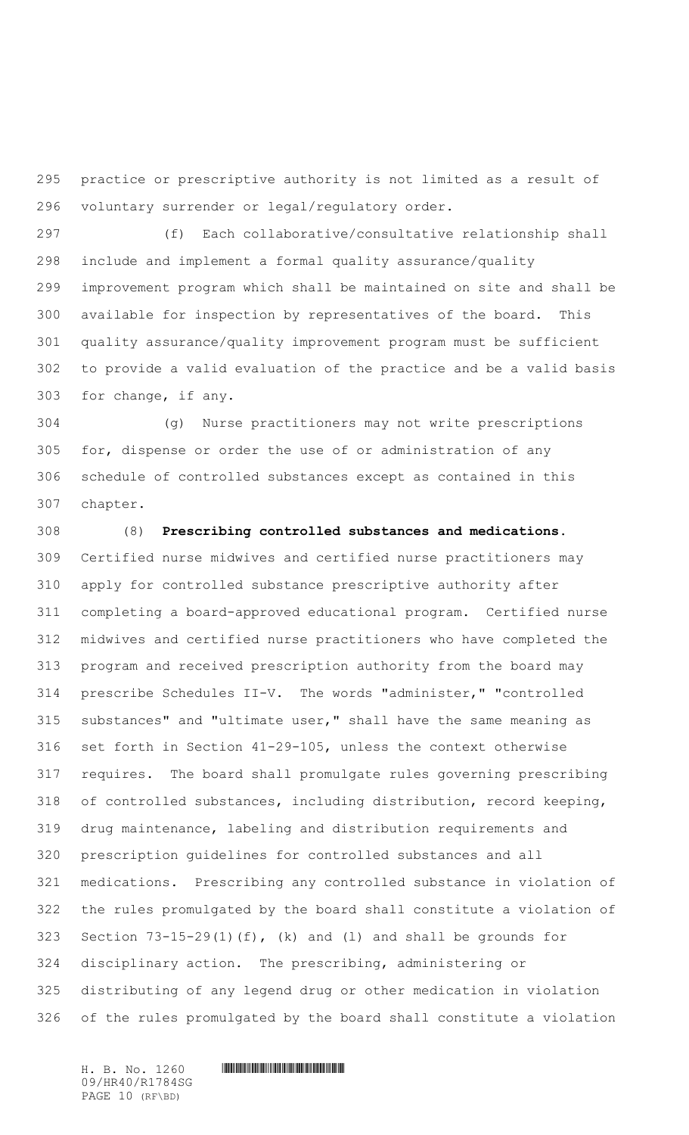practice or prescriptive authority is not limited as a result of voluntary surrender or legal/regulatory order.

 (f) Each collaborative/consultative relationship shall include and implement a formal quality assurance/quality improvement program which shall be maintained on site and shall be available for inspection by representatives of the board. This quality assurance/quality improvement program must be sufficient to provide a valid evaluation of the practice and be a valid basis for change, if any.

 (g) Nurse practitioners may not write prescriptions for, dispense or order the use of or administration of any schedule of controlled substances except as contained in this chapter.

 (8) **Prescribing controlled substances and medications.**  Certified nurse midwives and certified nurse practitioners may apply for controlled substance prescriptive authority after completing a board-approved educational program. Certified nurse midwives and certified nurse practitioners who have completed the program and received prescription authority from the board may prescribe Schedules II-V. The words "administer," "controlled substances" and "ultimate user," shall have the same meaning as set forth in Section 41-29-105, unless the context otherwise requires. The board shall promulgate rules governing prescribing of controlled substances, including distribution, record keeping, drug maintenance, labeling and distribution requirements and prescription guidelines for controlled substances and all medications. Prescribing any controlled substance in violation of the rules promulgated by the board shall constitute a violation of Section 73-15-29(1)(f), (k) and (l) and shall be grounds for disciplinary action. The prescribing, administering or distributing of any legend drug or other medication in violation of the rules promulgated by the board shall constitute a violation

09/HR40/R1784SG PAGE 10 (RF\BD)

 $H. B. No. 1260$  . HENGING THE SET OF SET OF SET OF SET OF SET OF SET OF SET OF SET OF SET OF SET OF SET OF SET OF SET OF SET OF SET OF SET OF SET OF SET OF SET OF SET OF SET OF SET OF SET OF SET OF SET OF SET OF SET OF SET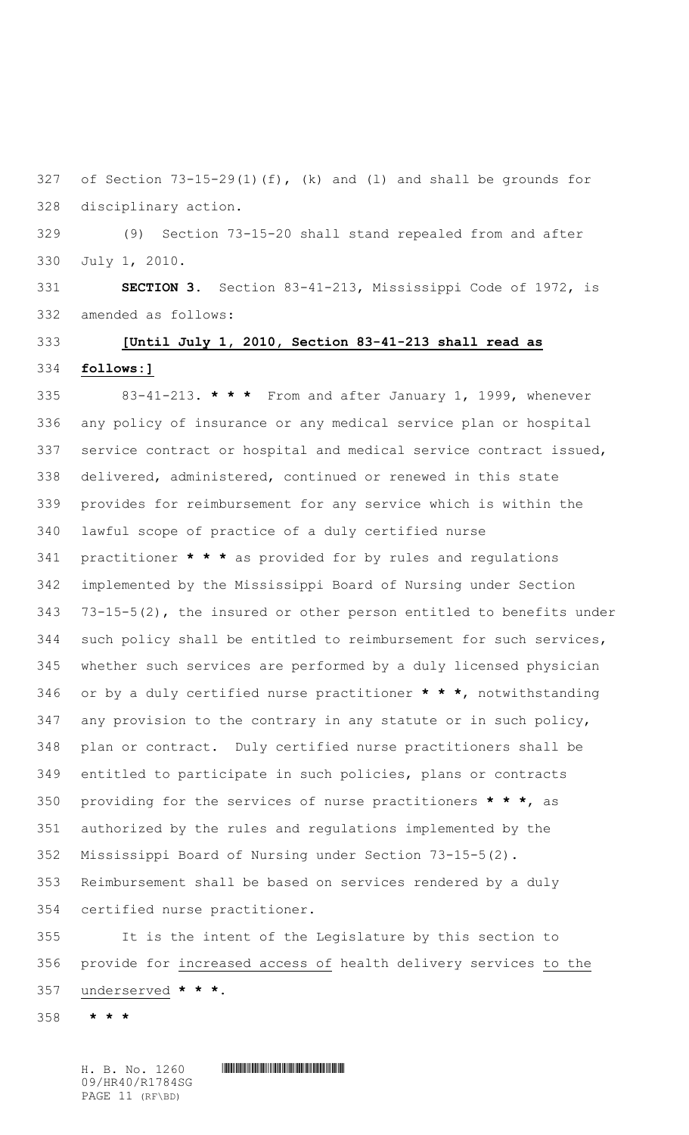of Section 73-15-29(1)(f), (k) and (l) and shall be grounds for disciplinary action.

 (9) Section 73-15-20 shall stand repealed from and after July 1, 2010.

 **SECTION 3.** Section 83-41-213, Mississippi Code of 1972, is amended as follows:

# **[Until July 1, 2010, Section 83-41-213 shall read as follows:]**

 83-41-213. **\* \* \*** From and after January 1, 1999, whenever any policy of insurance or any medical service plan or hospital service contract or hospital and medical service contract issued, delivered, administered, continued or renewed in this state provides for reimbursement for any service which is within the lawful scope of practice of a duly certified nurse practitioner **\* \* \*** as provided for by rules and regulations implemented by the Mississippi Board of Nursing under Section 73-15-5(2), the insured or other person entitled to benefits under such policy shall be entitled to reimbursement for such services, whether such services are performed by a duly licensed physician or by a duly certified nurse practitioner **\* \* \***, notwithstanding any provision to the contrary in any statute or in such policy, plan or contract. Duly certified nurse practitioners shall be entitled to participate in such policies, plans or contracts providing for the services of nurse practitioners **\* \* \***, as authorized by the rules and regulations implemented by the Mississippi Board of Nursing under Section 73-15-5(2). Reimbursement shall be based on services rendered by a duly certified nurse practitioner.

 It is the intent of the Legislature by this section to provide for increased access of health delivery services to the underserved **\* \* \***.

**\* \* \***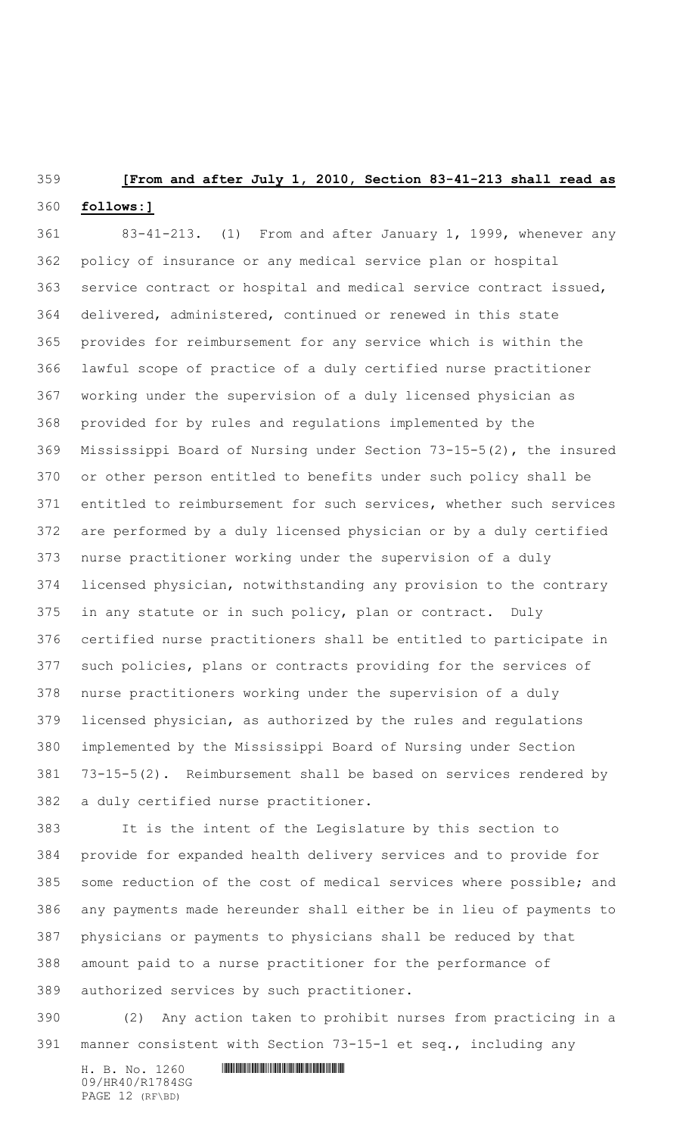## **[From and after July 1, 2010, Section 83-41-213 shall read as**

### **follows:]**

 83-41-213. (1) From and after January 1, 1999, whenever any policy of insurance or any medical service plan or hospital service contract or hospital and medical service contract issued, delivered, administered, continued or renewed in this state provides for reimbursement for any service which is within the lawful scope of practice of a duly certified nurse practitioner working under the supervision of a duly licensed physician as provided for by rules and regulations implemented by the Mississippi Board of Nursing under Section 73-15-5(2), the insured or other person entitled to benefits under such policy shall be entitled to reimbursement for such services, whether such services are performed by a duly licensed physician or by a duly certified nurse practitioner working under the supervision of a duly licensed physician, notwithstanding any provision to the contrary in any statute or in such policy, plan or contract. Duly certified nurse practitioners shall be entitled to participate in such policies, plans or contracts providing for the services of nurse practitioners working under the supervision of a duly licensed physician, as authorized by the rules and regulations implemented by the Mississippi Board of Nursing under Section 73-15-5(2). Reimbursement shall be based on services rendered by a duly certified nurse practitioner.

 It is the intent of the Legislature by this section to provide for expanded health delivery services and to provide for some reduction of the cost of medical services where possible; and any payments made hereunder shall either be in lieu of payments to physicians or payments to physicians shall be reduced by that amount paid to a nurse practitioner for the performance of authorized services by such practitioner.

 (2) Any action taken to prohibit nurses from practicing in a manner consistent with Section 73-15-1 et seq., including any

09/HR40/R1784SG PAGE 12 (RF\BD)

### $H. B. No. 1260$  . HENGING THE SET OF SET OF SET OF SET OF SET OF SET OF SET OF SET OF SET OF SET OF SET OF SET OF SET OF SET OF SET OF SET OF SET OF SET OF SET OF SET OF SET OF SET OF SET OF SET OF SET OF SET OF SET OF SET